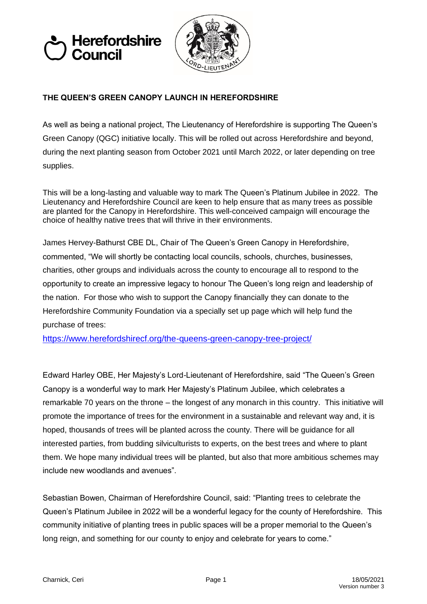



## **THE QUEEN'S GREEN CANOPY LAUNCH IN HEREFORDSHIRE**

As well as being a national project, The Lieutenancy of Herefordshire is supporting The Queen's Green Canopy (QGC) initiative locally. This will be rolled out across Herefordshire and beyond, during the next planting season from October 2021 until March 2022, or later depending on tree supplies.

This will be a long-lasting and valuable way to mark The Queen's Platinum Jubilee in 2022. The Lieutenancy and Herefordshire Council are keen to help ensure that as many trees as possible are planted for the Canopy in Herefordshire. This well-conceived campaign will encourage the choice of healthy native trees that will thrive in their environments.

James Hervey-Bathurst CBE DL, Chair of The Queen's Green Canopy in Herefordshire, commented, "We will shortly be contacting local councils, schools, churches, businesses, charities, other groups and individuals across the county to encourage all to respond to the opportunity to create an impressive legacy to honour The Queen's long reign and leadership of the nation. For those who wish to support the Canopy financially they can donate to the Herefordshire Community Foundation via a specially set up page which will help fund the purchase of trees:

<https://www.herefordshirecf.org/the-queens-green-canopy-tree-project/>

Edward Harley OBE, Her Majesty's Lord-Lieutenant of Herefordshire, said "The Queen's Green Canopy is a wonderful way to mark Her Majesty's Platinum Jubilee, which celebrates a remarkable 70 years on the throne – the longest of any monarch in this country. This initiative will promote the importance of trees for the environment in a sustainable and relevant way and, it is hoped, thousands of trees will be planted across the county. There will be guidance for all interested parties, from budding silviculturists to experts, on the best trees and where to plant them. We hope many individual trees will be planted, but also that more ambitious schemes may include new woodlands and avenues".

Sebastian Bowen, Chairman of Herefordshire Council, said: "Planting trees to celebrate the Queen's Platinum Jubilee in 2022 will be a wonderful legacy for the county of Herefordshire. This community initiative of planting trees in public spaces will be a proper memorial to the Queen's long reign, and something for our county to enjoy and celebrate for years to come."